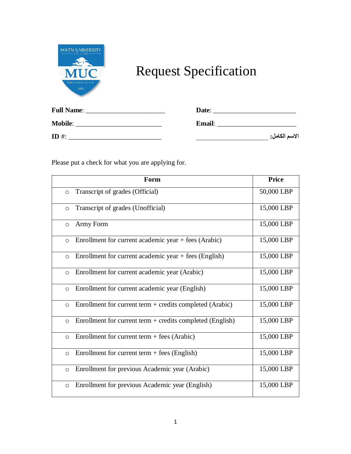

## Request Specification

| <b>Full Name:</b> | Date:         |               |
|-------------------|---------------|---------------|
| <b>Mobile:</b>    | <b>Email:</b> |               |
| ID #:             |               | الاسم الكامل: |

Please put a check for what you are applying for.

|         | Form                                                        | <b>Price</b> |
|---------|-------------------------------------------------------------|--------------|
| $\circ$ | Transcript of grades (Official)                             | 50,000 LBP   |
| $\circ$ | Transcript of grades (Unofficial)                           | 15,000 LBP   |
| $\circ$ | Army Form                                                   | 15,000 LBP   |
| $\circ$ | Enrollment for current academic year + fees (Arabic)        | 15,000 LBP   |
| $\circ$ | Enrollment for current academic year $+$ fees (English)     | 15,000 LBP   |
| $\circ$ | Enrollment for current academic year (Arabic)               | 15,000 LBP   |
| $\circ$ | Enrollment for current academic year (English)              | 15,000 LBP   |
| $\circ$ | Enrollment for current term $+$ credits completed (Arabic)  | 15,000 LBP   |
| $\circ$ | Enrollment for current term $+$ credits completed (English) | 15,000 LBP   |
| $\circ$ | Enrollment for current term $+$ fees (Arabic)               | 15,000 LBP   |
| $\circ$ | Enrollment for current term $+$ fees (English)              | 15,000 LBP   |
| $\circ$ | Enrollment for previous Academic year (Arabic)              | 15,000 LBP   |
| $\circ$ | Enrollment for previous Academic year (English)             | 15,000 LBP   |